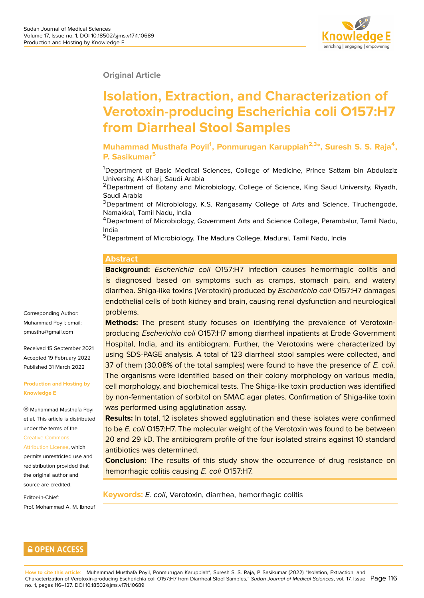**Original Article**

# **Isolation, Extraction, and Characterization of Verotoxin-producing Escherichia coli O157:H7 from Diarrheal Stool Samples**

**Muhammad Musthafa Poyil<sup>1</sup> , Ponmurugan Karuppiah2,3\*, Suresh S. S. Raja<sup>4</sup> , P. Sasikumar<sup>5</sup>**

<sup>1</sup>Department of Basic Medical Sciences, College of Medicine, Prince Sattam bin Abdulaziz University, Al-Kharj, Saudi Arabia

<sup>2</sup>Department of Botany and Microbiology, College of Science, King Saud University, Riyadh, Saudi Arabia

<sup>3</sup>Department of Microbiology, K.S. Rangasamy College of Arts and Science, Tiruchengode, Namakkal, Tamil Nadu, India

<sup>4</sup>Department of Microbiology, Government Arts and Science College, Perambalur, Tamil Nadu, India

<sup>5</sup>Department of Microbiology, The Madura College, Madurai, Tamil Nadu, India

#### **Abstract**

**Background:** *Escherichia coli* O157:H7 infection causes hemorrhagic colitis and is diagnosed based on symptoms such as cramps, stomach pain, and watery diarrhea. Shiga-like toxins (Verotoxin) produced by *Escherichia coli* O157:H7 damages endothelial cells of both kidney and brain, causing renal dysfunction and neurological problems.

**Methods:** The present study focuses on identifying the prevalence of Verotoxinproducing *Escherichia coli* O157:H7 among diarrheal inpatients at Erode Government Hospital, India, and its antibiogram. Further, the Verotoxins were characterized by using SDS-PAGE analysis. A total of 123 diarrheal stool samples were collected, and 37 of them (30.08% of the total samples) were found to have the presence of *E. coli*. The organisms were identified based on their colony morphology on various media, cell morphology, and biochemical tests. The Shiga-like toxin production was identified by non-fermentation of sorbitol on SMAC agar plates. Confirmation of Shiga-like toxin was performed using agglutination assay.

**Results:** In total, 12 isolates showed agglutination and these isolates were confirmed to be *E. coli* O157:H7. The molecular weight of the Verotoxin was found to be between 20 and 29 kD. The antibiogram profile of the four isolated strains against 10 standard antibiotics was determined.

**Conclusion:** The results of this study show the occurrence of drug resistance on hemorrhagic colitis causing *E. coli* O157:H7.

**Keywords:** *E. coli*, Verotoxin, diarrhea, hemorrhagic colitis

Corresponding Author: Muhammad Poyil; email: pmusthu@gmail.com

Received 15 September 2021 Accepted 19 February 2022 [Published 31 March 2](mailto:pmusthu@gmail.com)022

**Production and Hosting by Knowledge E**

Muhammad Musthafa Poyil et al. This article is distributed under the terms of the Creative Commons Attribution License, which permits unrestricted use and redistribution provided that [the original author](https://creativecommons.org/licenses/by/4.0/) and [source are credited](https://creativecommons.org/licenses/by/4.0/).

Editor-in-Chief: Prof. Mohammad A. M. Ibnouf

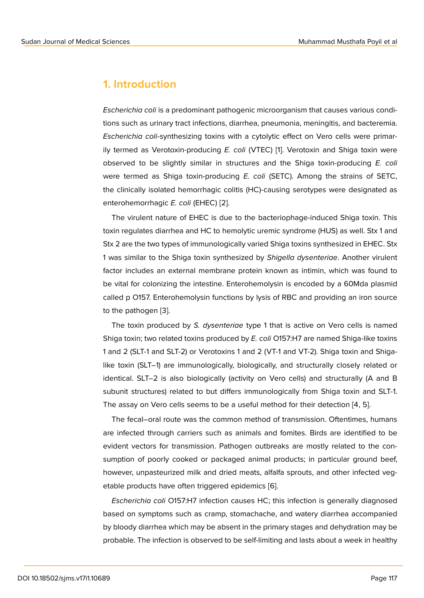### **1. Introduction**

*Escherichia coli* is a predominant pathogenic microorganism that causes various conditions such as urinary tract infections, diarrhea, pneumonia, meningitis, and bacteremia. *Escherichia coli*-synthesizing toxins with a cytolytic effect on Vero cells were primarily termed as Verotoxin-producing *E. coli* (VTEC) [1]. Verotoxin and Shiga toxin were observed to be slightly similar in structures and the Shiga toxin-producing *E. coli* were termed as Shiga toxin-producing *E. coli* (SETC). Among the strains of SETC, the clinically isolated hemorrhagic colitis (HC)-cau[si](#page-9-0)ng serotypes were designated as enterohemorrhagic *E. coli* (EHEC) [2].

The virulent nature of EHEC is due to the bacteriophage-induced Shiga toxin. This toxin regulates diarrhea and HC to hemolytic uremic syndrome (HUS) as well. Stx 1 and Stx 2 are the two types of immunol[og](#page-9-1)ically varied Shiga toxins synthesized in EHEC. Stx 1 was similar to the Shiga toxin synthesized by *Shigella dysenteriae*. Another virulent factor includes an external membrane protein known as intimin, which was found to be vital for colonizing the intestine. Enterohemolysin is encoded by a 60Mda plasmid called p O157. Enterohemolysin functions by lysis of RBC and providing an iron source to the pathogen [3].

The toxin produced by *S. dysenteriae* type 1 that is active on Vero cells is named Shiga toxin; two related toxins produced by *E. coli* O157:H7 are named Shiga-like toxins 1 and 2 (SLT-1 an[d](#page-10-0) SLT-2) or Verotoxins 1 and 2 (VT-1 and VT-2). Shiga toxin and Shigalike toxin (SLT–1) are immunologically, biologically, and structurally closely related or identical. SLT–2 is also biologically (activity on Vero cells) and structurally (A and B subunit structures) related to but differs immunologically from Shiga toxin and SLT-1. The assay on Vero cells seems to be a useful method for their detection [4, 5].

The fecal–oral route was the common method of transmission. Oftentimes, humans are infected through carriers such as animals and fomites. Birds are identified to be evident vectors for transmission. Pathogen outbreaks are mostly related to the consumption of poorly cooked or packaged animal products; in particular ground beef, however, unpasteurized milk and dried meats, alfalfa sprouts, and other infected vegetable products have often triggered epidemics [6].

*Escherichia coli* O157:H7 infection causes HC; this infection is generally diagnosed based on symptoms such as cramp, stomachache, and watery diarrhea accompanied by bloody diarrhea which may be absent in the p[rim](#page-10-1)ary stages and dehydration may be probable. The infection is observed to be self-limiting and lasts about a week in healthy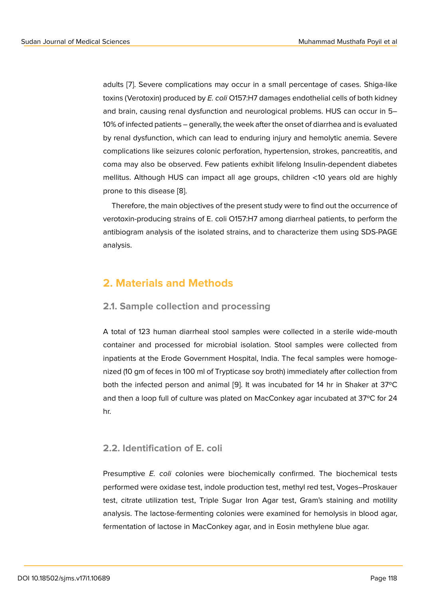adults [7]. Severe complications may occur in a small percentage of cases. Shiga-like toxins (Verotoxin) produced by *E. coli* O157:H7 damages endothelial cells of both kidney and brain, causing renal dysfunction and neurological problems. HUS can occur in 5– 10% of i[nf](#page-10-2)ected patients – generally, the week after the onset of diarrhea and is evaluated by renal dysfunction, which can lead to enduring injury and hemolytic anemia. Severe complications like seizures colonic perforation, hypertension, strokes, pancreatitis, and coma may also be observed. Few patients exhibit lifelong Insulin-dependent diabetes mellitus. Although HUS can impact all age groups, children <10 years old are highly prone to this disease [8].

Therefore, the main objectives of the present study were to find out the occurrence of verotoxin-producing strains of E. coli O157:H7 among diarrheal patients, to perform the antibiogram analysis [of](#page-10-3) the isolated strains, and to characterize them using SDS-PAGE analysis.

### **2. Materials and Methods**

#### **2.1. Sample collection and processing**

A total of 123 human diarrheal stool samples were collected in a sterile wide-mouth container and processed for microbial isolation. Stool samples were collected from inpatients at the Erode Government Hospital, India. The fecal samples were homogenized (10 gm of feces in 100 ml of Trypticase soy broth) immediately after collection from both the infected person and animal [9]. It was incubated for 14 hr in Shaker at 37ºC and then a loop full of culture was plated on MacConkey agar incubated at 37ºC for 24 hr.

#### **2.2. Identification of E. coli**

Presumptive *E. coli* colonies were biochemically confirmed. The biochemical tests performed were oxidase test, indole production test, methyl red test, Voges–Proskauer test, citrate utilization test, Triple Sugar Iron Agar test, Gram's staining and motility analysis. The lactose-fermenting colonies were examined for hemolysis in blood agar, fermentation of lactose in MacConkey agar, and in Eosin methylene blue agar.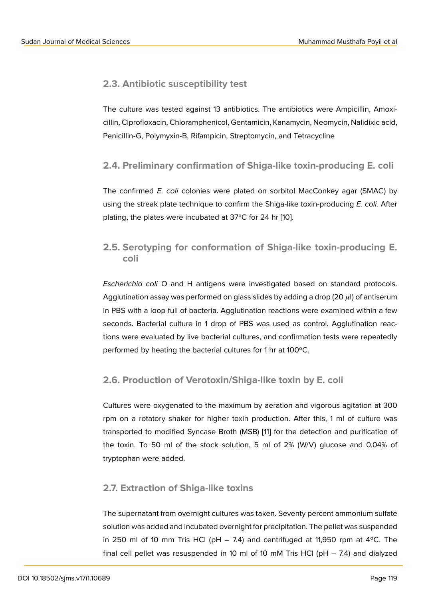#### **2.3. Antibiotic susceptibility test**

The culture was tested against 13 antibiotics. The antibiotics were Ampicillin, Amoxicillin, Ciprofloxacin, Chloramphenicol, Gentamicin, Kanamycin, Neomycin, Nalidixic acid, Penicillin-G, Polymyxin-B, Rifampicin, Streptomycin, and Tetracycline

#### **2.4. Preliminary confirmation of Shiga-like toxin-producing E. coli**

The confirmed *E. coli* colonies were plated on sorbitol MacConkey agar (SMAC) by using the streak plate technique to confirm the Shiga-like toxin-producing *E. coli.* After plating, the plates were incubated at 37ºC for 24 hr [10].

### **2.5. Serotyping for conformation of Shi[ga](#page-10-4)-like toxin-producing E. coli**

*Escherichia coli* O and H antigens were investigated based on standard protocols. Agglutination assay was performed on glass slides by adding a drop (20  $\mu$ l) of antiserum in PBS with a loop full of bacteria. Agglutination reactions were examined within a few seconds. Bacterial culture in 1 drop of PBS was used as control. Agglutination reactions were evaluated by live bacterial cultures, and confirmation tests were repeatedly performed by heating the bacterial cultures for 1 hr at 100ºC.

#### **2.6. Production of Verotoxin/Shiga-like toxin by E. coli**

Cultures were oxygenated to the maximum by aeration and vigorous agitation at 300 rpm on a rotatory shaker for higher toxin production. After this, 1 ml of culture was transported to modified Syncase Broth (MSB) [11] for the detection and purification of the toxin. To 50 ml of the stock solution, 5 ml of 2% (W/V) glucose and 0.04% of tryptophan were added.

#### **2.7. Extraction of Shiga-like toxins**

The supernatant from overnight cultures was taken. Seventy percent ammonium sulfate solution was added and incubated overnight for precipitation. The pellet was suspended in 250 ml of 10 mm Tris HCl (pH  $-$  7.4) and centrifuged at 11,950 rpm at 4 $\degree$ C. The final cell pellet was resuspended in 10 ml of 10 mM Tris HCl (pH – 7.4) and dialyzed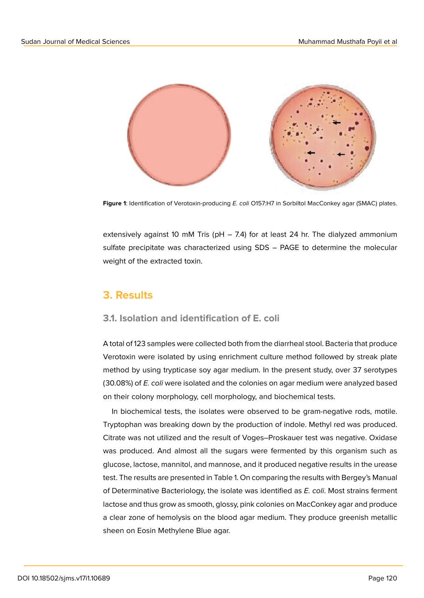

**Figure 1**: Identification of Verotoxin-producing *E. coli* O157:H7 in Sorbiltol MacConkey agar (SMAC) plates.

extensively against 10 mM Tris ( $pH - 7.4$ ) for at least 24 hr. The dialyzed ammonium sulfate precipitate was characterized using SDS – PAGE to determine the molecular weight of the extracted toxin.

### **3. Results**

#### **3.1. Isolation and identification of E. coli**

A total of 123 samples were collected both from the diarrheal stool. Bacteria that produce Verotoxin were isolated by using enrichment culture method followed by streak plate method by using trypticase soy agar medium. In the present study, over 37 serotypes (30.08%) of *E. coli* were isolated and the colonies on agar medium were analyzed based on their colony morphology, cell morphology, and biochemical tests.

In biochemical tests, the isolates were observed to be gram-negative rods, motile. Tryptophan was breaking down by the production of indole. Methyl red was produced. Citrate was not utilized and the result of Voges–Proskauer test was negative. Oxidase was produced. And almost all the sugars were fermented by this organism such as glucose, lactose, mannitol, and mannose, and it produced negative results in the urease test. The results are presented in Table 1. On comparing the results with Bergey's Manual of Determinative Bacteriology, the isolate was identified as *E. coli*. Most strains ferment lactose and thus grow as smooth, glossy, pink colonies on MacConkey agar and produce a clear zone of hemolysis on the blood agar medium. They produce greenish metallic sheen on Eosin Methylene Blue agar.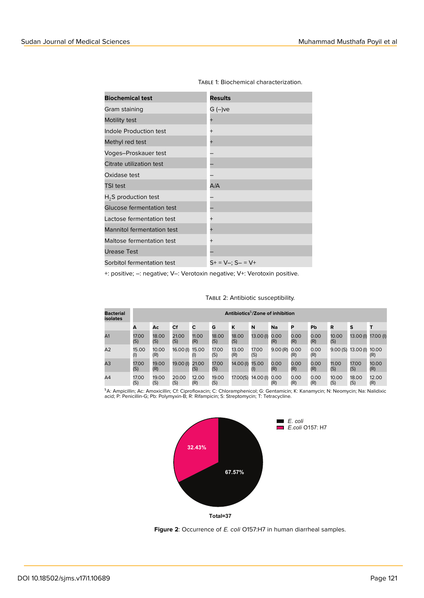| <b>Biochemical test</b>           | <b>Results</b>                 |
|-----------------------------------|--------------------------------|
| Gram staining                     | G (–)ve                        |
| Motility test                     | $\ddot{}$                      |
| Indole Production test            | $^{+}$                         |
| Methyl red test                   | $^{+}$                         |
| Voges-Proskauer test              |                                |
| Citrate utilization test          |                                |
| Oxidase test                      |                                |
| <b>TSI test</b>                   | A/A                            |
| $H2S$ production test             |                                |
| Glucose fermentation test         |                                |
| Lactose fermentation test         | $\ddot{}$                      |
| <b>Mannitol fermentation test</b> | $^{+}$                         |
| Maltose fermentation test         | $^{+}$                         |
| <b>Urease Test</b>                |                                |
| Sorbitol fermentation test        | $S_{+} = V_{-}; S_{-} = V_{+}$ |

Table 1: Biochemical characterization.

+: positive; –: negative; V–: Verotoxin negative; V+: Verotoxin positive.

| <b>Bacterial</b><br>isolates | Antibiotics <sup>5</sup> /Zone of inhibition |              |              |              |              |              |                   |             |             |             |              |              |              |
|------------------------------|----------------------------------------------|--------------|--------------|--------------|--------------|--------------|-------------------|-------------|-------------|-------------|--------------|--------------|--------------|
|                              | A                                            | Ac           | Cf           | С            | G            | Κ            | N                 | Na          | P           | Pb          | R            | s            |              |
| A <sub>1</sub>               | 17.00<br>(S)                                 | 18.00<br>(S) | 21.00<br>(S) | 11.00<br>(R) | 18.00<br>(S) | 18.00<br>(S) | 13.00(I)          | 0.00<br>(R) | 0.00<br>(R) | 0.00<br>(R) | 10.00<br>(S) | 13.00(I)     | 17.00 (I)    |
| A2                           | 15.00<br>(1)                                 | 10.00<br>(R) | 16.00(I)     | 15.00        | 17.00<br>(S) | 13.00<br>(R) | 17.00<br>(S)      | 9.00(R)     | 0.00<br>(R) | 0.00<br>(R) | 9.00(S)      | 13.00(I)     | 10.00<br>(R) |
| A3                           | 17.00<br>(S)                                 | 19.00<br>(R) | 19.00(I)     | 21.00<br>(S) | 17.00<br>(S) | 14.00(I)     | 15.00<br>$^{(1)}$ | 0.00<br>(R) | 0.00<br>(R) | 0.00<br>(R) | 11.00<br>(S) | 17.00<br>(S) | 10.00<br>(R) |
| A <sub>4</sub>               | 17.00<br>(S)                                 | 19.00<br>(S) | 20.00<br>(S) | 12.00<br>(R) | 19.00<br>(S) | 17.00(S)     | 14.00(I)          | 0.00<br>(R) | 0.00<br>(R) | 0.00<br>(R) | 10.00<br>(S) | 18.00<br>(S) | 12.00<br>(R) |

TABLE 2: Antibiotic susceptibility.

<sup>s</sup>A: Ampicillin; Ac: Amoxicillin; Cf: Ciprofloxacin; C: Chloramphenicol; G: Gentamicin; K: Kanamycin; N: Neomycin; Na: Nalidixic<br>acid; P: Penicillin-G; Pb: Polymyxin-B; R: Rifampicin; S: Streptomycin; T: Tetracycline.



**Figure 2**: Occurrence of *E. coli* O157:H7 in human diarrheal samples.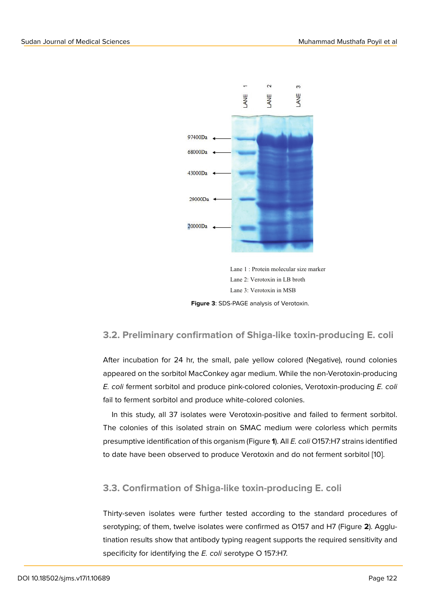

Lane 1 : Protein molecular size marker Lane 2: Verotoxin in LB broth Lane 3: Verotoxin in MSB

**Figure 3**: SDS-PAGE analysis of Verotoxin.

#### **3.2. Preliminary confirmation of Shiga-like toxin-producing E. coli**

After incubation for 24 hr, the small, pale yellow colored (Negative), round colonies appeared on the sorbitol MacConkey agar medium. While the non-Verotoxin-producing *E. coli* ferment sorbitol and produce pink-colored colonies, Verotoxin-producing *E. coli* fail to ferment sorbitol and produce white-colored colonies.

In this study, all 37 isolates were Verotoxin-positive and failed to ferment sorbitol. The colonies of this isolated strain on SMAC medium were colorless which permits presumptive identification of this organism (Figure **1**). All *E. coli* O157:H7 strains identified to date have been observed to produce Verotoxin and do not ferment sorbitol [10].

#### **3.3. Confirmation of Shiga-like toxin-producing E. coli**

Thirty-seven isolates were further tested according to the standard procedures of serotyping; of them, twelve isolates were confirmed as O157 and H7 (Figure **2**). Agglutination results show that antibody typing reagent supports the required sensitivity and specificity for identifying the *E. coli* serotype O 157:H7.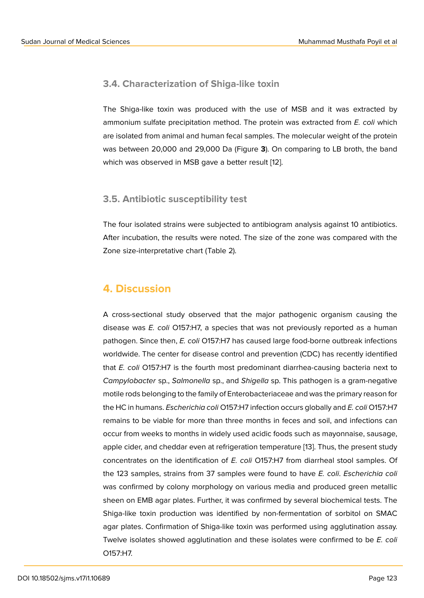#### **3.4. Characterization of Shiga-like toxin**

The Shiga-like toxin was produced with the use of MSB and it was extracted by ammonium sulfate precipitation method. The protein was extracted from *E. coli* which are isolated from animal and human fecal samples. The molecular weight of the protein was between 20,000 and 29,000 Da (Figure **3**). On comparing to LB broth, the band which was observed in MSB gave a better result [12].

#### **3.5. Antibiotic susceptibility test**

The four isolated strains were subjected to antibiogram analysis against 10 antibiotics. After incubation, the results were noted. The size of the zone was compared with the Zone size-interpretative chart (Table 2).

### **4. Discussion**

A cross-sectional study observed that the major pathogenic organism causing the disease was *E. coli* O157:H7, a species that was not previously reported as a human pathogen. Since then, *E. coli* O157:H7 has caused large food-borne outbreak infections worldwide. The center for disease control and prevention (CDC) has recently identified that *E. coli* O157:H7 is the fourth most predominant diarrhea-causing bacteria next to *Campylobacter* sp., *Salmonella* sp., and *Shigella* sp. This pathogen is a gram-negative motile rods belonging to the family of Enterobacteriaceae and was the primary reason for the HC in humans. *Escherichia coli* O157:H7 infection occurs globally and *E. coli* O157:H7 remains to be viable for more than three months in feces and soil, and infections can occur from weeks to months in widely used acidic foods such as mayonnaise, sausage, apple cider, and cheddar even at refrigeration temperature [13]. Thus, the present study concentrates on the identification of *E. coli* O157:H7 from diarrheal stool samples. Of the 123 samples, strains from 37 samples were found to have *E. coli*. *Escherichia coli* was confirmed by colony morphology on various media a[nd](#page-10-5) produced green metallic sheen on EMB agar plates. Further, it was confirmed by several biochemical tests. The Shiga-like toxin production was identified by non-fermentation of sorbitol on SMAC agar plates. Confirmation of Shiga-like toxin was performed using agglutination assay. Twelve isolates showed agglutination and these isolates were confirmed to be *E. coli* O157:H7.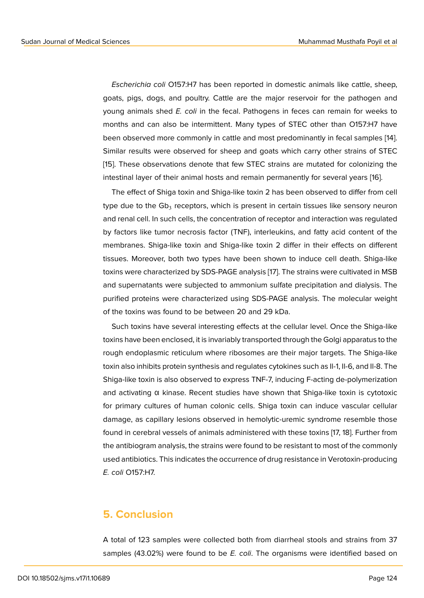*Escherichia coli* O157:H7 has been reported in domestic animals like cattle, sheep, goats, pigs, dogs, and poultry. Cattle are the major reservoir for the pathogen and young animals shed *E. coli* in the fecal. Pathogens in feces can remain for weeks to months and can also be intermittent. Many types of STEC other than O157:H7 have been observed more commonly in cattle and most predominantly in fecal samples [14]. Similar results were observed for sheep and goats which carry other strains of STEC [15]. These observations denote that few STEC strains are mutated for colonizing the intestinal layer of their animal hosts and remain permanently for several years [16].

The effect of Shiga toxin and Shiga-like toxin 2 has been observed to differ from cell [typ](#page-11-0)e due to the Gb $_3$  receptors, which is present in certain tissues like sensory neuron and renal cell. In such cells, the concentration of receptor and interaction was re[gu](#page-11-1)lated by factors like tumor necrosis factor (TNF), interleukins, and fatty acid content of the membranes. Shiga-like toxin and Shiga-like toxin 2 differ in their effects on different tissues. Moreover, both two types have been shown to induce cell death. Shiga-like toxins were characterized by SDS-PAGE analysis [17]. The strains were cultivated in MSB and supernatants were subjected to ammonium sulfate precipitation and dialysis. The purified proteins were characterized using SDS-PAGE analysis. The molecular weight of the toxins was found to be between 20 and 2[9 k](#page-11-2)Da.

Such toxins have several interesting effects at the cellular level. Once the Shiga-like toxins have been enclosed, it is invariably transported through the Golgi apparatus to the rough endoplasmic reticulum where ribosomes are their major targets. The Shiga-like toxin also inhibits protein synthesis and regulates cytokines such as Il-1, Il-6, and Il-8. The Shiga-like toxin is also observed to express TNF-7, inducing F-acting de-polymerization and activating α kinase. Recent studies have shown that Shiga-like toxin is cytotoxic for primary cultures of human colonic cells. Shiga toxin can induce vascular cellular damage, as capillary lesions observed in hemolytic-uremic syndrome resemble those found in cerebral vessels of animals administered with these toxins [17, 18]. Further from the antibiogram analysis, the strains were found to be resistant to most of the commonly used antibiotics. This indicates the occurrence of drug resistance in Verotoxin-producing *E. coli* O157:H7.

### **5. Conclusion**

A total of 123 samples were collected both from diarrheal stools and strains from 37 samples (43.02%) were found to be *E. coli*. The organisms were identified based on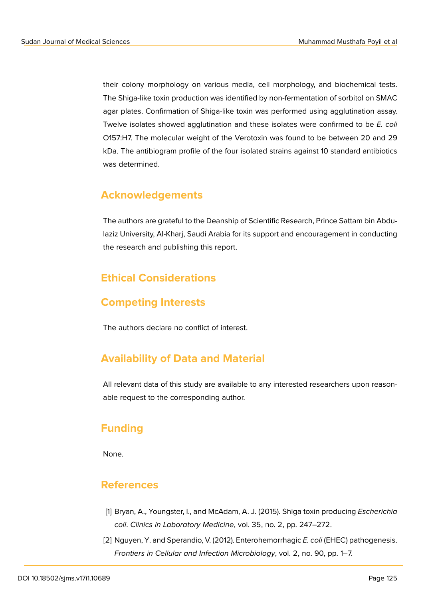their colony morphology on various media, cell morphology, and biochemical tests. The Shiga-like toxin production was identified by non-fermentation of sorbitol on SMAC agar plates. Confirmation of Shiga-like toxin was performed using agglutination assay. Twelve isolates showed agglutination and these isolates were confirmed to be *E. coli* O157:H7. The molecular weight of the Verotoxin was found to be between 20 and 29 kDa. The antibiogram profile of the four isolated strains against 10 standard antibiotics was determined.

### **Acknowledgements**

The authors are grateful to the Deanship of Scientific Research, Prince Sattam bin Abdulaziz University, Al-Kharj, Saudi Arabia for its support and encouragement in conducting the research and publishing this report.

## **Ethical Considerations**

### **Competing Interests**

The authors declare no conflict of interest.

### **Availability of Data and Material**

All relevant data of this study are available to any interested researchers upon reasonable request to the corresponding author.

### **Funding**

None.

### **References**

- <span id="page-9-0"></span>[1] Bryan, A., Youngster, I., and McAdam, A. J. (2015). Shiga toxin producing *Escherichia coli*. *Clinics in Laboratory Medicine*, vol. 35, no. 2, pp. 247–272.
- <span id="page-9-1"></span>[2] Nguyen, Y. and Sperandio, V. (2012). Enterohemorrhagic *E. coli* (EHEC) pathogenesis. *Frontiers in Cellular and Infection Microbiology*, vol. 2, no. 90, pp. 1–7.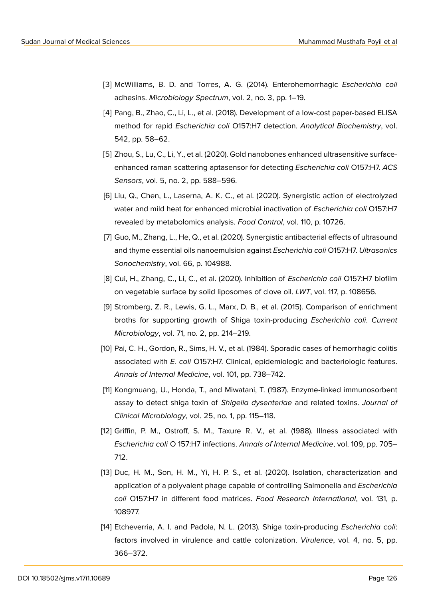- <span id="page-10-0"></span>[3] McWilliams, B. D. and Torres, A. G. (2014). Enterohemorrhagic *Escherichia coli* adhesins. *Microbiology Spectrum*, vol. 2, no. 3, pp. 1–19.
- [4] Pang, B., Zhao, C., Li, L., et al. (2018). Development of a low-cost paper-based ELISA method for rapid *Escherichia coli* O157:H7 detection. *Analytical Biochemistry*, vol. 542, pp. 58–62.
- [5] Zhou, S., Lu, C., Li, Y., et al. (2020). Gold nanobones enhanced ultrasensitive surfaceenhanced raman scattering aptasensor for detecting *Escherichia coli* O157:H7. *ACS Sensors*, vol. 5, no. 2, pp. 588–596.
- <span id="page-10-1"></span>[6] Liu, Q., Chen, L., Laserna, A. K. C., et al. (2020). Synergistic action of electrolyzed water and mild heat for enhanced microbial inactivation of *Escherichia coli* O157:H7 revealed by metabolomics analysis. *Food Control*, vol. 110, p. 10726.
- <span id="page-10-2"></span>[7] Guo, M., Zhang, L., He, Q., et al. (2020). Synergistic antibacterial effects of ultrasound and thyme essential oils nanoemulsion against *Escherichia coli* O157:H7. *Ultrasonics Sonochemistry*, vol. 66, p. 104988.
- <span id="page-10-3"></span>[8] Cui, H., Zhang, C., Li, C., et al. (2020). Inhibition of *Escherichia coli* O157:H7 biofilm on vegetable surface by solid liposomes of clove oil. *LWT*, vol. 117, p. 108656.
- [9] Stromberg, Z. R., Lewis, G. L., Marx, D. B., et al. (2015). Comparison of enrichment broths for supporting growth of Shiga toxin-producing *Escherichia coli*. *Current Microbiology*, vol. 71, no. 2, pp. 214–219.
- <span id="page-10-4"></span>[10] Pai, C. H., Gordon, R., Sims, H. V., et al. (1984). Sporadic cases of hemorrhagic colitis associated with *E. coli* O157:H7. Clinical, epidemiologic and bacteriologic features. *Annals of Internal Medicine*, vol. 101, pp. 738–742.
- [11] Kongmuang, U., Honda, T., and Miwatani, T. (1987). Enzyme-linked immunosorbent assay to detect shiga toxin of *Shigella dysenteriae* and related toxins. *Journal of Clinical Microbiology*, vol. 25, no. 1, pp. 115–118.
- [12] Griffin, P. M., Ostroff, S. M., Taxure R. V., et al. (1988). Illness associated with *Escherichia coli* O 157:H7 infections. *Annals of Internal Medicine*, vol. 109, pp. 705– 712.
- <span id="page-10-5"></span>[13] Duc, H. M., Son, H. M., Yi, H. P. S., et al. (2020). Isolation, characterization and application of a polyvalent phage capable of controlling Salmonella and *Escherichia coli* O157:H7 in different food matrices. *Food Research International*, vol. 131, p. 108977.
- [14] Etcheverria, A. I. and Padola, N. L. (2013). Shiga toxin-producing *Escherichia coli*: factors involved in virulence and cattle colonization. *Virulence*, vol. 4, no. 5, pp. 366–372.